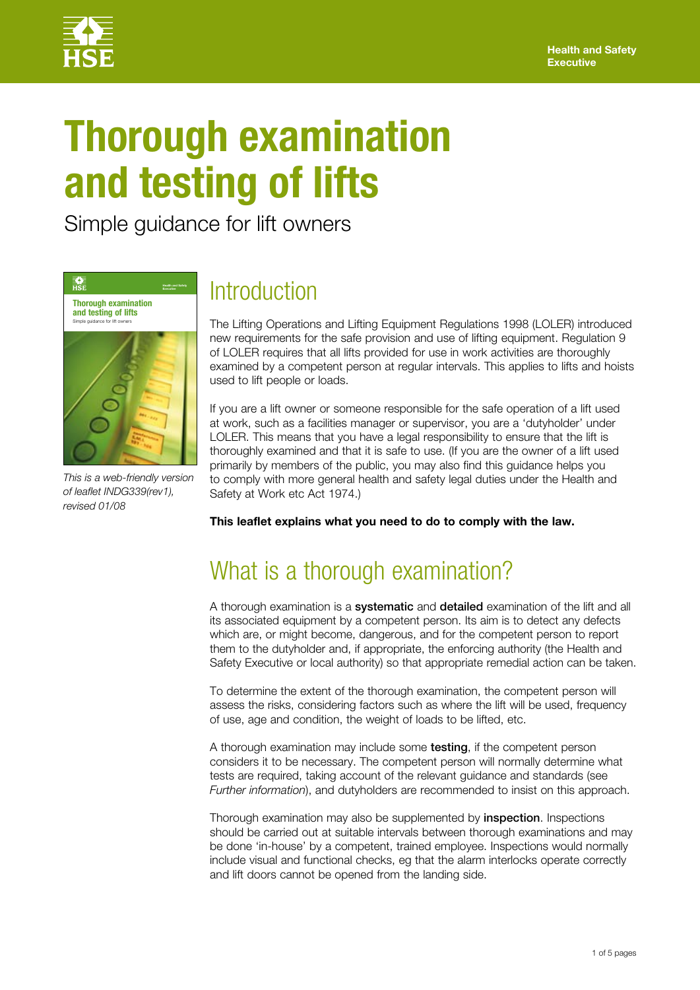

# **Thorough examination and testing of lifts**

Simple guidance for lift owners



*This is a web-friendly version of leaflet INDG339(rev1), revised 01/08*

### **Introduction**

The Lifting Operations and Lifting Equipment Regulations 1998 (LOLER) introduced new requirements for the safe provision and use of lifting equipment. Regulation 9 of LOLER requires that all lifts provided for use in work activities are thoroughly examined by a competent person at regular intervals. This applies to lifts and hoists used to lift people or loads.

If you are a lift owner or someone responsible for the safe operation of a lift used at work, such as a facilities manager or supervisor, you are a 'dutyholder' under LOLER. This means that you have a legal responsibility to ensure that the lift is thoroughly examined and that it is safe to use. (If you are the owner of a lift used primarily by members of the public, you may also find this guidance helps you to comply with more general health and safety legal duties under the Health and Safety at Work etc Act 1974.)

**This leaflet explains what you need to do to comply with the law.**

# What is a thorough examination?

A thorough examination is a **systematic** and **detailed** examination of the lift and all its associated equipment by a competent person. Its aim is to detect any defects which are, or might become, dangerous, and for the competent person to report them to the dutyholder and, if appropriate, the enforcing authority (the Health and Safety Executive or local authority) so that appropriate remedial action can be taken.

To determine the extent of the thorough examination, the competent person will assess the risks, considering factors such as where the lift will be used, frequency of use, age and condition, the weight of loads to be lifted, etc.

A thorough examination may include some testing, if the competent person considers it to be necessary. The competent person will normally determine what tests are required, taking account of the relevant guidance and standards (see *Further information*), and dutyholders are recommended to insist on this approach.

Thorough examination may also be supplemented by **inspection**. Inspections should be carried out at suitable intervals between thorough examinations and may be done 'in-house' by a competent, trained employee. Inspections would normally include visual and functional checks, eg that the alarm interlocks operate correctly and lift doors cannot be opened from the landing side.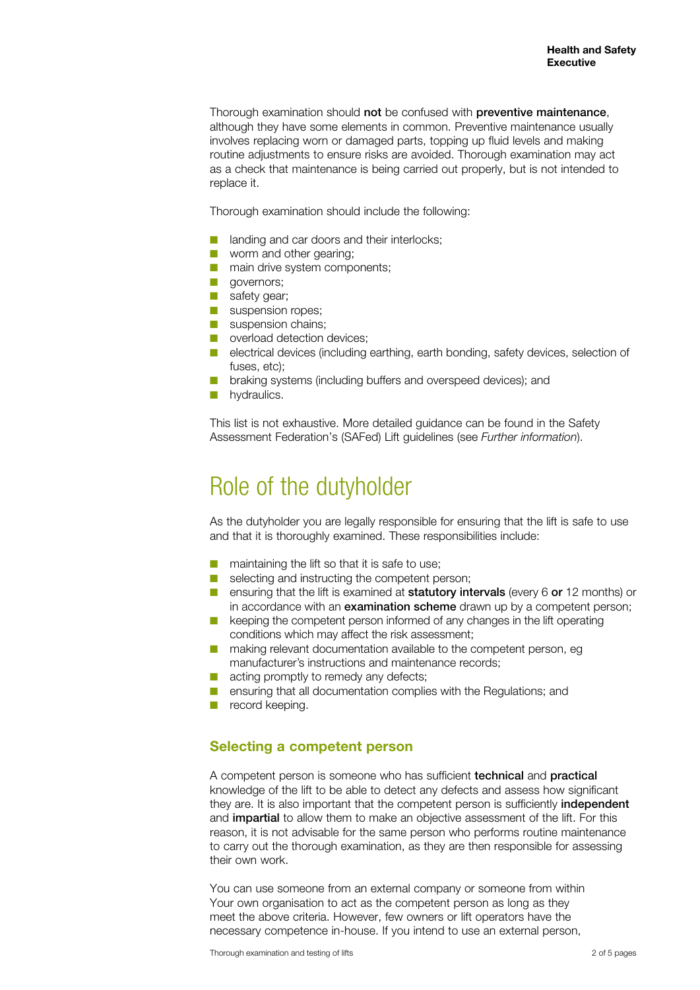Thorough examination should not be confused with preventive maintenance. although they have some elements in common. Preventive maintenance usually involves replacing worn or damaged parts, topping up fluid levels and making routine adjustments to ensure risks are avoided. Thorough examination may act as a check that maintenance is being carried out properly, but is not intended to replace it.

Thorough examination should include the following:

- landing and car doors and their interlocks:
- worm and other gearing:
- main drive system components;
- governors:
- safety gear:
- suspension ropes:
- suspension chains:
- overload detection devices:
- electrical devices (including earthing, earth bonding, safety devices, selection of fuses, etc);
- braking systems (including buffers and overspeed devices); and
- **D** hydraulics.

This list is not exhaustive. More detailed guidance can be found in the Safety Assessment Federation's (SAFed) Lift guidelines (see *Further information*).

### Role of the dutyholder

As the dutyholder you are legally responsible for ensuring that the lift is safe to use and that it is thoroughly examined. These responsibilities include:

- maintaining the lift so that it is safe to use;
- selecting and instructing the competent person;
- ensuring that the lift is examined at **statutory intervals** (every 6 or 12 months) or in accordance with an **examination scheme** drawn up by a competent person;
- keeping the competent person informed of any changes in the lift operating conditions which may affect the risk assessment;
- making relevant documentation available to the competent person, eg manufacturer's instructions and maintenance records;
- acting promptly to remedy any defects;
- ensuring that all documentation complies with the Regulations; and
- record keeping.

#### **Selecting a competent person**

A competent person is someone who has sufficient technical and practical knowledge of the lift to be able to detect any defects and assess how significant they are. It is also important that the competent person is sufficiently independent and **impartial** to allow them to make an objective assessment of the lift. For this reason, it is not advisable for the same person who performs routine maintenance to carry out the thorough examination, as they are then responsible for assessing their own work.

You can use someone from an external company or someone from within Your own organisation to act as the competent person as long as they meet the above criteria. However, few owners or lift operators have the necessary competence in-house. If you intend to use an external person,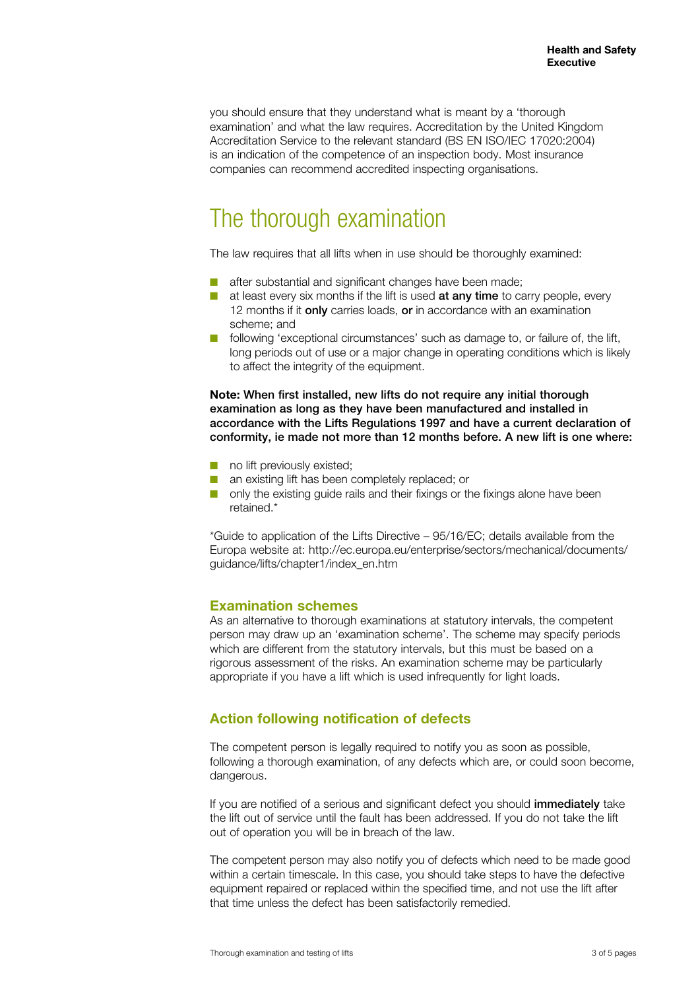you should ensure that they understand what is meant by a 'thorough examination' and what the law requires. Accreditation by the United Kingdom Accreditation Service to the relevant standard (BS EN ISO/IEC 17020:2004) is an indication of the competence of an inspection body. Most insurance companies can recommend accredited inspecting organisations.

## The thorough examination

The law requires that all lifts when in use should be thoroughly examined:

- after substantial and significant changes have been made;
- at least every six months if the lift is used **at any time** to carry people, every 12 months if it **only** carries loads, or in accordance with an examination scheme; and
- following 'exceptional circumstances' such as damage to, or failure of, the lift, long periods out of use or a major change in operating conditions which is likely to affect the integrity of the equipment.

**Note:** When first installed, new lifts do not require any initial thorough examination as long as they have been manufactured and installed in accordance with the Lifts Regulations 1997 and have a current declaration of conformity, ie made not more than 12 months before. A new lift is one where:

- no lift previously existed;
- an existing lift has been completely replaced; or
- only the existing guide rails and their fixings or the fixings alone have been retained.\*

\*Guide to application of the Lifts Directive – 95/16/EC; details available from the Europa website at: http://ec.europa.eu/enterprise/sectors/mechanical/documents/ guidance/lifts/chapter1/index\_en.htm

#### **Examination schemes**

As an alternative to thorough examinations at statutory intervals, the competent person may draw up an 'examination scheme'. The scheme may specify periods which are different from the statutory intervals, but this must be based on a rigorous assessment of the risks. An examination scheme may be particularly appropriate if you have a lift which is used infrequently for light loads.

### **Action following notification of defects**

The competent person is legally required to notify you as soon as possible, following a thorough examination, of any defects which are, or could soon become, dangerous.

If you are notified of a serious and significant defect you should **immediately** take the lift out of service until the fault has been addressed. If you do not take the lift out of operation you will be in breach of the law.

The competent person may also notify you of defects which need to be made good within a certain timescale. In this case, you should take steps to have the defective equipment repaired or replaced within the specified time, and not use the lift after that time unless the defect has been satisfactorily remedied.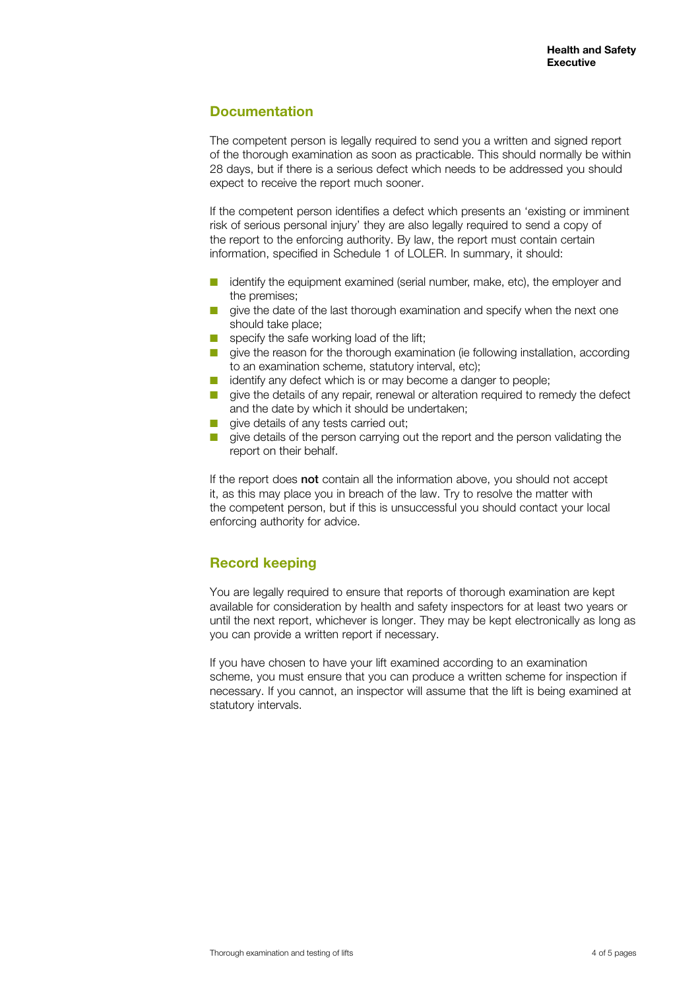### **Documentation**

The competent person is legally required to send you a written and signed report of the thorough examination as soon as practicable. This should normally be within 28 days, but if there is a serious defect which needs to be addressed you should expect to receive the report much sooner.

If the competent person identifies a defect which presents an 'existing or imminent risk of serious personal injury' they are also legally required to send a copy of the report to the enforcing authority. By law, the report must contain certain information, specified in Schedule 1 of LOLER. In summary, it should:

- identify the equipment examined (serial number, make, etc), the employer and the premises;
- give the date of the last thorough examination and specify when the next one should take place;
- specify the safe working load of the lift;
- give the reason for the thorough examination (ie following installation, according to an examination scheme, statutory interval, etc);
- identify any defect which is or may become a danger to people:
- give the details of any repair, renewal or alteration required to remedy the defect and the date by which it should be undertaken;
- give details of any tests carried out;
- give details of the person carrying out the report and the person validating the report on their behalf.

If the report does not contain all the information above, you should not accept it, as this may place you in breach of the law. Try to resolve the matter with the competent person, but if this is unsuccessful you should contact your local enforcing authority for advice.

### **Record keeping**

You are legally required to ensure that reports of thorough examination are kept available for consideration by health and safety inspectors for at least two years or until the next report, whichever is longer. They may be kept electronically as long as you can provide a written report if necessary.

If you have chosen to have your lift examined according to an examination scheme, you must ensure that you can produce a written scheme for inspection if necessary. If you cannot, an inspector will assume that the lift is being examined at statutory intervals.